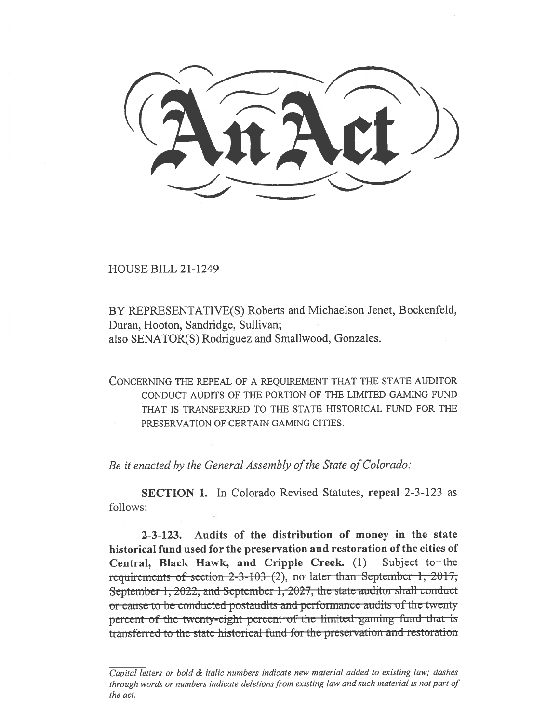HOUSE BILL 21-1249

BY REPRESENTATIVE(S) Roberts and Michaelson Jenet, Bockenfeld, Duran, Hooton, Sandridge, Sullivan; also SENATOR(S) Rodriguez and Smallwood, Gonzales.

CONCERNING THE REPEAL OF A REQUIREMENT THAT THE STATE AUDITOR CONDUCT AUDITS OF THE PORTION OF THE LIMITED GAMING FUND THAT IS TRANSFERRED TO THE STATE HISTORICAL FUND FOR THE PRESERVATION OF CERTAIN GAMING CITIES.

Be it enacted by the General Assembly of the State of Colorado:

SECTION 1. In Colorado Revised Statutes, repeal 2-3-123 as follows:

2-3-123. Audits of the distribution of money in the state historical fund used for the preservation and restoration of the cities of Central, Black Hawk, and Cripple Creek. (1) Subject to the requirements of section 2-3-103 (2), no later than September 1, 2017, September-1, 2022, and September-1, 2027, the state auditor shall conduct or-cause-to-be-conducted-postaudits-and-performance-audits-of-the-twentypercent-of-the-twenty-eight-percent-of-the-limited-gaming-fund-that- is transferred to the state historical fund for the preservation and restoration

Capital letters or bold & italic numbers indicate new material added to existing law; dashes through words or numbers indicate deletions from existing law and such material is not part of the act.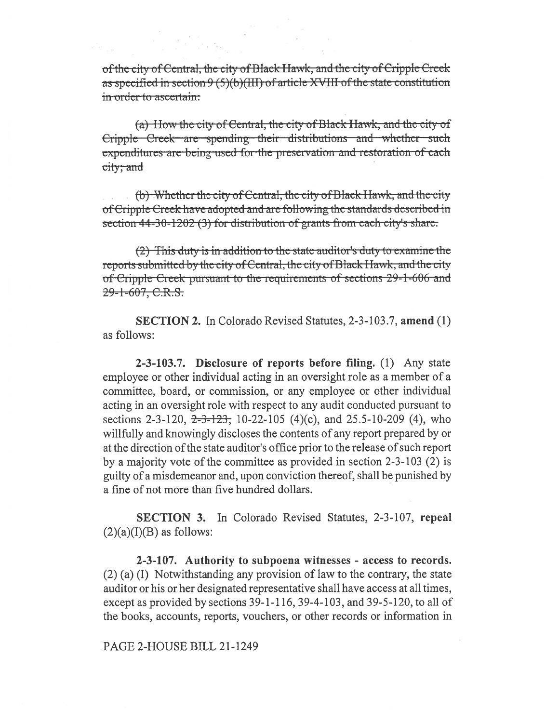of the city of Central, the city of Black Hawk, and the city of Cripple Creek as specified in section  $9(5)(b)(III)$  of article XVIII of the state constitution in order to ascertain:

(a) How the city of Central, the city of Black Hawk, and the city of Cripple Creek are spending their distributions and whether such expenditures are being used for the preservation and restoration of each city; and

(b) Whether the city of Central, the city of Black Hawk, and the city of Cripple Creek have adopted and are following the standards described in section 44-30-1202 (3) for distribution of grants from each city's share.

(2) This duty is in addition to the state auditor's duty to examine the reports submitted by the city of Central, the city of Black Hawk, and the city of Cripple Creek pursuant to the requirements of sections 29-1-606 and 29-1-607, C.R.S.

**SECTION 2.** In Colorado Revised Statutes, 2-3-103.7, amend (1) as follows:

2-3-103.7. Disclosure of reports before filing. (1) Any state employee or other individual acting in an oversight role as a member of a committee, board, or commission, or any employee or other individual acting in an oversight role with respect to any audit conducted pursuant to sections 2-3-120,  $2\text{-}3\text{-}123$ ; 10-22-105 (4)(c), and 25.5-10-209 (4), who willfully and knowingly discloses the contents of any report prepared by or at the direction of the state auditor's office prior to the release of such report by a majority vote of the committee as provided in section 2-3-103 (2) is guilty of a misdemeanor and, upon conviction thereof, shall be punished by a fine of not more than five hundred dollars.

**SECTION 3.** In Colorado Revised Statutes, 2-3-107, repeal  $(2)(a)(I)(B)$  as follows:

2-3-107. Authority to subpoena witnesses - access to records.  $(2)$  (a) (I) Notwithstanding any provision of law to the contrary, the state auditor or his or her designated representative shall have access at all times, except as provided by sections 39-1-116, 39-4-103, and 39-5-120, to all of the books, accounts, reports, vouchers, or other records or information in

PAGE 2-HOUSE BILL 21-1249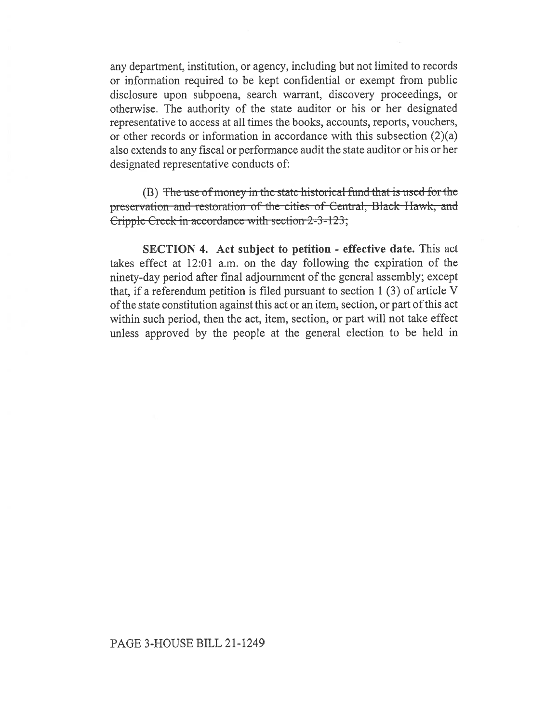any department, institution, or agency, including but not limited to records or information required to be kept confidential or exempt from public disclosure upon subpoena, search warrant, discovery proceedings, or otherwise. The authority of the state auditor or his or her designated representative to access at all times the books, accounts, reports, vouchers, or other records or information in accordance with this subsection (2)(a) also extends to any fiscal or performance audit the state auditor or his or her designated representative conducts of:

 $(B)$  The use of money in the state historical fund that is used for the preservation and restoration of the cities of Central, Black Hawk, and Cripple Creek in accordance with section  $2-3-123$ ;

SECTION 4. Act subject to petition - effective date. This act takes effect at 12:01 a.m. on the day following the expiration of the ninety-day period after final adjournment of the general assembly; except that, if a referendum petition is filed pursuant to section 1 (3) of article V of the state constitution against this act or an item, section, or part of this act within such period, then the act, item, section, or part will not take effect unless approved by the people at the general election to be held in